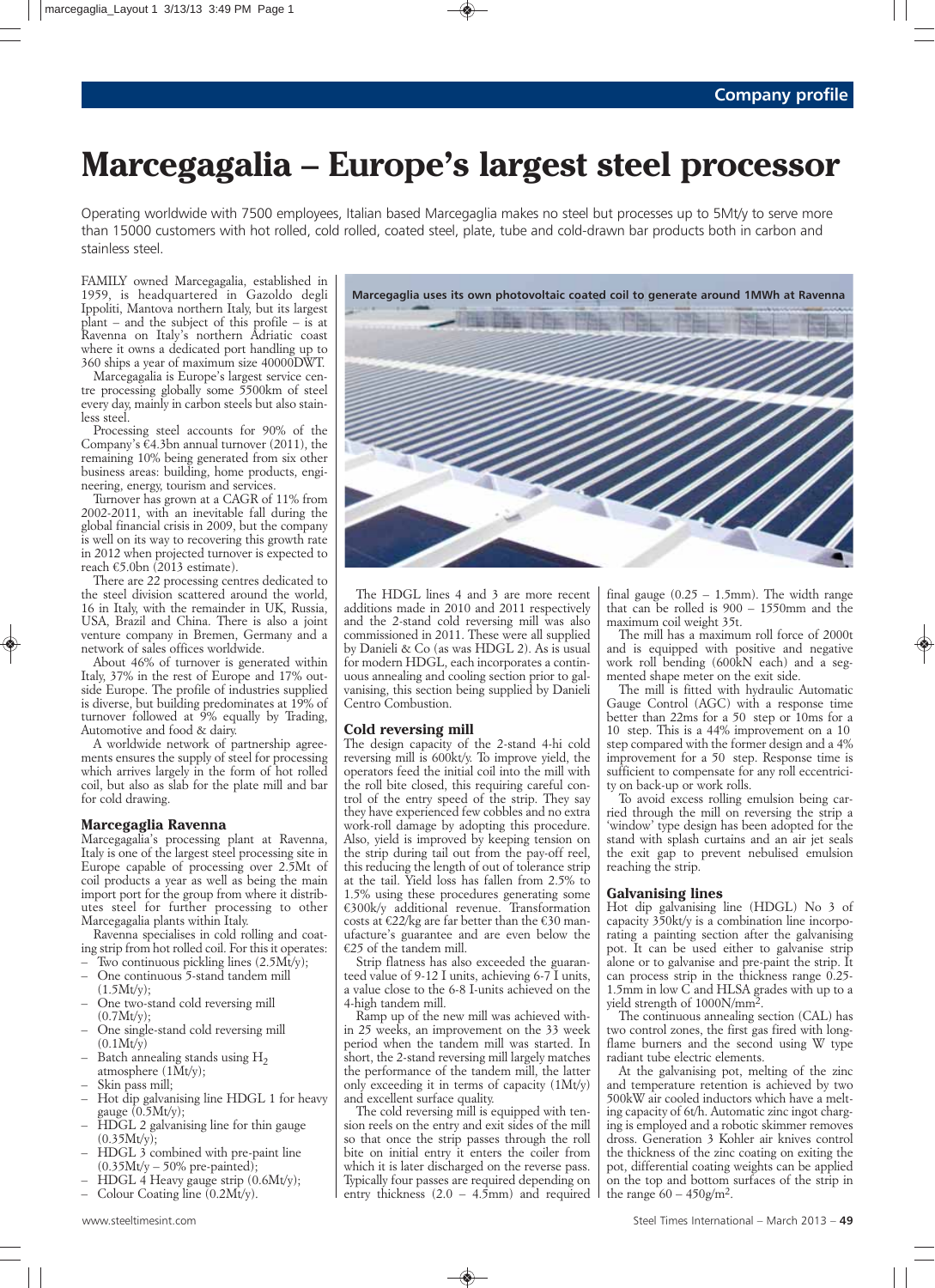## **Marcegagalia – Europe's largest steel processor**

Operating worldwide with 7500 employees, Italian based Marcegaglia makes no steel but processes up to 5Mt/y to serve more than 15000 customers with hot rolled, cold rolled, coated steel, plate, tube and cold-drawn bar products both in carbon and stainless steel.

*FAMILY owned Marcegagalia, established in 1959, is headquartered in Gazoldo degli Ippoliti, Mantova northern Italy, but its largest plant – and the subject of this profile – is at Ravenna on Italy's northern Adriatic coast where it owns a dedicated port handling up to 360 ships a year of maximum size 40000DWT.*

*Marcegagalia is Europe's largest service centre processing globally some 5500km of steel every day, mainly in carbon steels but also stainless steel.* 

*Processing steel accounts for 90% of the Company's €4.3bn annual turnover (2011), the remaining 10% being generated from six other business areas: building, home products, engineering, energy, tourism and services.*

*Turnover has grown at a CAGR of 11% from 2002-2011, with an inevitable fall during the global financial crisis in 2009, but the company is well on its way to recovering this growth rate in 2012 when projected turnover is expected to reach €5.0bn (2013 estimate).*

*There are 22 processing centres dedicated to the steel division scattered around the world, 16 in Italy, with the remainder in UK, Russia, USA, Brazil and China. There is also a joint venture company in Bremen, Germany and a network of sales offices worldwide.*

*About 46% of turnover is generated within Italy, 37% in the rest of Europe and 17% outside Europe. The profile of industries supplied is diverse, but building predominates at 19% of turnover followed at 9% equally by Trading, Automotive and food & dairy.*

*A worldwide network of partnership agreements ensures the supply of steel for processing which arrives largely in the form of hot rolled coil, but also as slab for the plate mill and bar for cold drawing.*

### **Marcegaglia Ravenna**

*Marcegagalia's processing plant at Ravenna, Italy is one of the largest steel processing site in Europe capable of processing over 2.5Mt of coil products a year as well as being the main import port for the group from where it distributes steel for further processing to other Marcegagalia plants within Italy.*

*Ravenna specialises in cold rolling and coating strip from hot rolled coil. For this it operates:*

- *Two continuous pickling lines (2.5Mt/y); – One continuous 5-stand tandem mill*
- *(1.5Mt/y);*
- *One two-stand cold reversing mill (0.7Mt/y);*
- *One single-stand cold reversing mill (0.1Mt/y)*
- *Batch annealing stands using H2 atmosphere (1Mt/y);*
- *Skin pass mill;*
- *Hot dip galvanising line HDGL 1 for heavy gauge (0.5Mt/y);*
- *HDGL 2 galvanising line for thin gauge (0.35Mt/y);*
- *HDGL 3 combined with pre-paint line (0.35Mt/y – 50% pre-painted);*
- *HDGL 4 Heavy gauge strip (0.6Mt/y);*
- *Colour Coating line (0.2Mt/y).*



*The HDGL lines 4 and 3 are more recent additions made in 2010 and 2011 respectively and the 2-stand cold reversing mill was also commissioned in 2011. These were all supplied by Danieli & Co (as was HDGL 2). As is usual for modern HDGL, each incorporates a continuous annealing and cooling section prior to galvanising, this section being supplied by Danieli Centro Combustion.*

## **Cold reversing mill**

*The design capacity of the 2-stand 4-hi cold reversing mill is 600kt/y. To improve yield, the operators feed the initial coil into the mill with the roll bite closed, this requiring careful control of the entry speed of the strip. They say they have experienced few cobbles and no extra work-roll damage by adopting this procedure. Also, yield is improved by keeping tension on the strip during tail out from the pay-off reel, this reducing the length of out of tolerance strip at the tail. Yield loss has fallen from 2.5% to 1.5% using these procedures generating some €300k/y additional revenue. Transformation costs at €22/kg are far better than the €30 manufacture's guarantee and are even below the €25 of the tandem mill.* 

*Strip flatness has also exceeded the guaranteed value of 9-12 I units, achieving 6-7 I units, a value close to the 6-8 I-units achieved on the 4-high tandem mill.*

*Ramp up of the new mill was achieved within 25 weeks, an improvement on the 33 week period when the tandem mill was started. In short, the 2-stand reversing mill largely matches the performance of the tandem mill, the latter only exceeding it in terms of capacity (1Mt/y) and excellent surface quality.*

*The cold reversing mill is equipped with tension reels on the entry and exit sides of the mill so that once the strip passes through the roll bite on initial entry it enters the coiler from which it is later discharged on the reverse pass. Typically four passes are required depending on entry thickness (2.0 – 4.5mm) and required*

*final gauge (0.25 – 1.5mm). The width range that can be rolled is 900 – 1550mm and the maximum coil weight 35t.* 

*The mill has a maximum roll force of 2000t and is equipped with positive and negative work roll bending (600kN each) and a segmented shape meter on the exit side.*

*The mill is fitted with hydraulic Automatic Gauge Control (AGC) with a response time better than 22ms for a 50 step or 10ms for a 10 step. This is a 44% improvement on a 10 step compared with the former design and a 4% improvement for a 50 step. Response time is sufficient to compensate for any roll eccentricity on back-up or work rolls.*

*To avoid excess rolling emulsion being carried through the mill on reversing the strip a 'window' type design has been adopted for the stand with splash curtains and an air jet seals the exit gap to prevent nebulised emulsion reaching the strip.*

### **Galvanising lines**

*Hot dip galvanising line (HDGL) No 3 of capacity 350kt/y is a combination line incorporating a painting section after the galvanising pot. It can be used either to galvanise strip alone or to galvanise and pre-paint the strip. It can process strip in the thickness range 0.25- 1.5mm in low C and HLSA grades with up to a yield strength of 1000N/mm2.* 

*The continuous annealing section (CAL) has two control zones, the first gas fired with longflame burners and the second using W type radiant tube electric elements.*

*At the galvanising pot, melting of the zinc and temperature retention is achieved by two 500kW air cooled inductors which have a melting capacity of 6t/h. Automatic zinc ingot charging is employed and a robotic skimmer removes dross. Generation 3 Kohler air knives control the thickness of the zinc coating on exiting the pot, differential coating weights can be applied on the top and bottom surfaces of the strip in the range 60 – 450g/m2.*